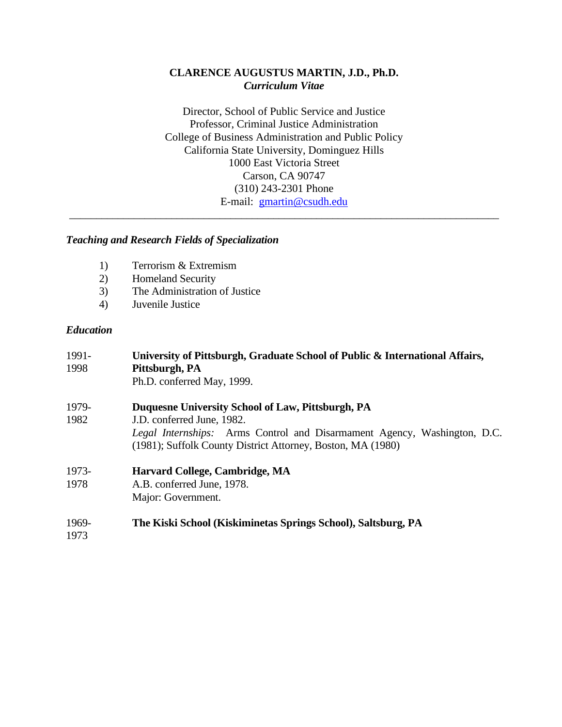# **CLARENCE AUGUSTUS MARTIN, J.D., Ph.D.** *Curriculum Vitae*

Director, School of Public Service and Justice Professor, Criminal Justice Administration College of Business Administration and Public Policy California State University, Dominguez Hills 1000 East Victoria Street Carson, CA 90747 (310) 243-2301 Phone E-mail: [gmartin@csudh.edu](mailto:gmartin@csudh.edu)

\_\_\_\_\_\_\_\_\_\_\_\_\_\_\_\_\_\_\_\_\_\_\_\_\_\_\_\_\_\_\_\_\_\_\_\_\_\_\_\_\_\_\_\_\_\_\_\_\_\_\_\_\_\_\_\_\_\_\_\_\_\_\_\_\_\_\_\_\_\_\_\_\_\_\_\_\_\_\_\_

## *Teaching and Research Fields of Specialization*

- 1) Terrorism & Extremism
- 2) Homeland Security
- 3) The Administration of Justice
- 4) Juvenile Justice

#### *Education*

| 1991-<br>1998 | University of Pittsburgh, Graduate School of Public & International Affairs,<br>Pittsburgh, PA<br>Ph.D. conferred May, 1999. |
|---------------|------------------------------------------------------------------------------------------------------------------------------|
| 1979-         | Duquesne University School of Law, Pittsburgh, PA                                                                            |
| 1982          | J.D. conferred June, 1982.                                                                                                   |
|               | Legal Internships: Arms Control and Disarmament Agency, Washington, D.C.                                                     |
|               | (1981); Suffolk County District Attorney, Boston, MA (1980)                                                                  |
| 1973-         | Harvard College, Cambridge, MA                                                                                               |
| 1978          | A.B. conferred June, 1978.                                                                                                   |
|               | Major: Government.                                                                                                           |
|               |                                                                                                                              |

# 1969- **The Kiski School (Kiskiminetas Springs School), Saltsburg, PA**

1973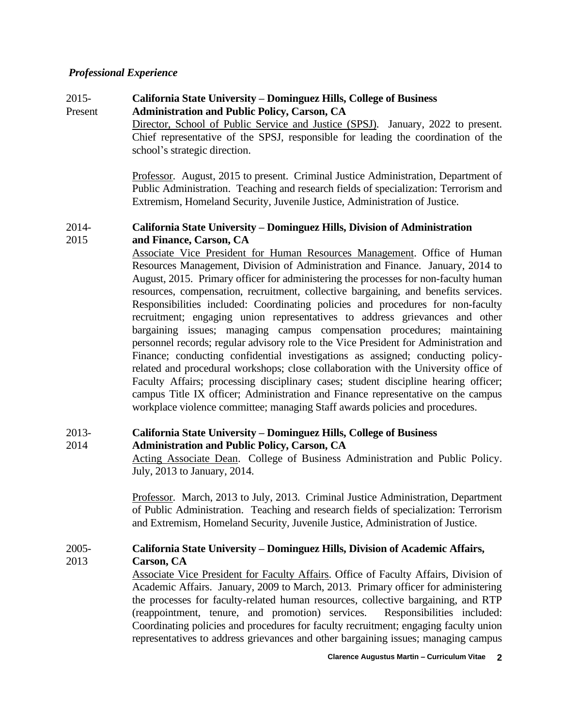## *Professional Experience*

# 2015- **California State University – Dominguez Hills, College of Business** Present **Administration and Public Policy, Carson, CA**

Director, School of Public Service and Justice (SPSJ). January, 2022 to present. Chief representative of the SPSJ, responsible for leading the coordination of the school's strategic direction.

Professor. August, 2015 to present. Criminal Justice Administration, Department of Public Administration. Teaching and research fields of specialization: Terrorism and Extremism, Homeland Security, Juvenile Justice, Administration of Justice.

## 2014- **California State University – Dominguez Hills, Division of Administration** 2015 **and Finance, Carson, CA**

Associate Vice President for Human Resources Management. Office of Human Resources Management, Division of Administration and Finance. January, 2014 to August, 2015. Primary officer for administering the processes for non-faculty human resources, compensation, recruitment, collective bargaining, and benefits services. Responsibilities included: Coordinating policies and procedures for non-faculty recruitment; engaging union representatives to address grievances and other bargaining issues; managing campus compensation procedures; maintaining personnel records; regular advisory role to the Vice President for Administration and Finance; conducting confidential investigations as assigned; conducting policyrelated and procedural workshops; close collaboration with the University office of Faculty Affairs; processing disciplinary cases; student discipline hearing officer; campus Title IX officer; Administration and Finance representative on the campus workplace violence committee; managing Staff awards policies and procedures.

# 2013- **California State University – Dominguez Hills, College of Business**

2014 **Administration and Public Policy, Carson, CA** Acting Associate Dean. College of Business Administration and Public Policy. July, 2013 to January, 2014.

> Professor. March, 2013 to July, 2013. Criminal Justice Administration, Department of Public Administration. Teaching and research fields of specialization: Terrorism and Extremism, Homeland Security, Juvenile Justice, Administration of Justice.

#### 2005- **California State University – Dominguez Hills, Division of Academic Affairs,** 2013 **Carson, CA**

Associate Vice President for Faculty Affairs. Office of Faculty Affairs, Division of Academic Affairs. January, 2009 to March, 2013. Primary officer for administering the processes for faculty-related human resources, collective bargaining, and RTP (reappointment, tenure, and promotion) services. Responsibilities included: Coordinating policies and procedures for faculty recruitment; engaging faculty union representatives to address grievances and other bargaining issues; managing campus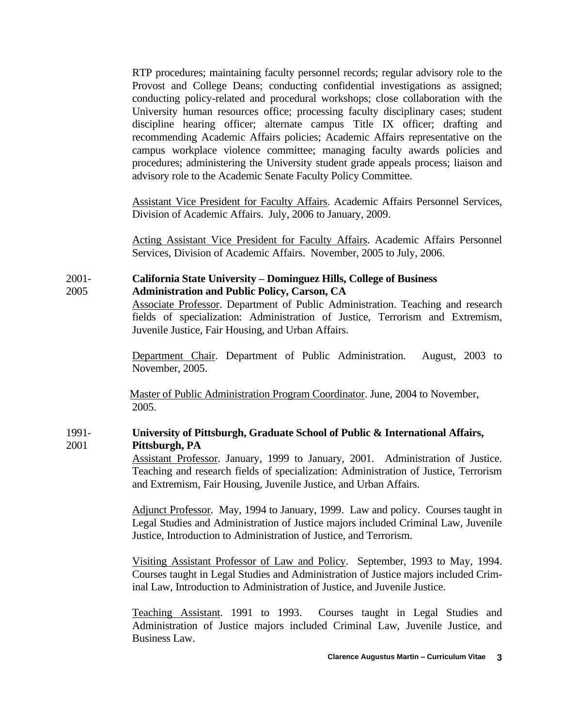RTP procedures; maintaining faculty personnel records; regular advisory role to the Provost and College Deans; conducting confidential investigations as assigned; conducting policy-related and procedural workshops; close collaboration with the University human resources office; processing faculty disciplinary cases; student discipline hearing officer; alternate campus Title IX officer; drafting and recommending Academic Affairs policies; Academic Affairs representative on the campus workplace violence committee; managing faculty awards policies and procedures; administering the University student grade appeals process; liaison and advisory role to the Academic Senate Faculty Policy Committee.

Assistant Vice President for Faculty Affairs. Academic Affairs Personnel Services, Division of Academic Affairs. July, 2006 to January, 2009.

Acting Assistant Vice President for Faculty Affairs. Academic Affairs Personnel Services, Division of Academic Affairs. November, 2005 to July, 2006.

### 2001- **California State University – Dominguez Hills, College of Business** 2005 **Administration and Public Policy, Carson, CA**

Associate Professor. Department of Public Administration. Teaching and research fields of specialization: Administration of Justice, Terrorism and Extremism, Juvenile Justice, Fair Housing, and Urban Affairs.

Department Chair. Department of Public Administration. August, 2003 to November, 2005.

 Master of Public Administration Program Coordinator. June, 2004 to November, 2005.

# 1991- **University of Pittsburgh, Graduate School of Public & International Affairs,** 2001 **Pittsburgh, PA**

Assistant Professor. January, 1999 to January, 2001. Administration of Justice. Teaching and research fields of specialization: Administration of Justice, Terrorism and Extremism, Fair Housing, Juvenile Justice, and Urban Affairs.

Adjunct Professor. May, 1994 to January, 1999. Law and policy. Courses taught in Legal Studies and Administration of Justice majors included Criminal Law, Juvenile Justice, Introduction to Administration of Justice, and Terrorism.

Visiting Assistant Professor of Law and Policy. September, 1993 to May, 1994. Courses taught in Legal Studies and Administration of Justice majors included Criminal Law, Introduction to Administration of Justice, and Juvenile Justice.

Teaching Assistant. 1991 to 1993. Courses taught in Legal Studies and Administration of Justice majors included Criminal Law, Juvenile Justice, and Business Law.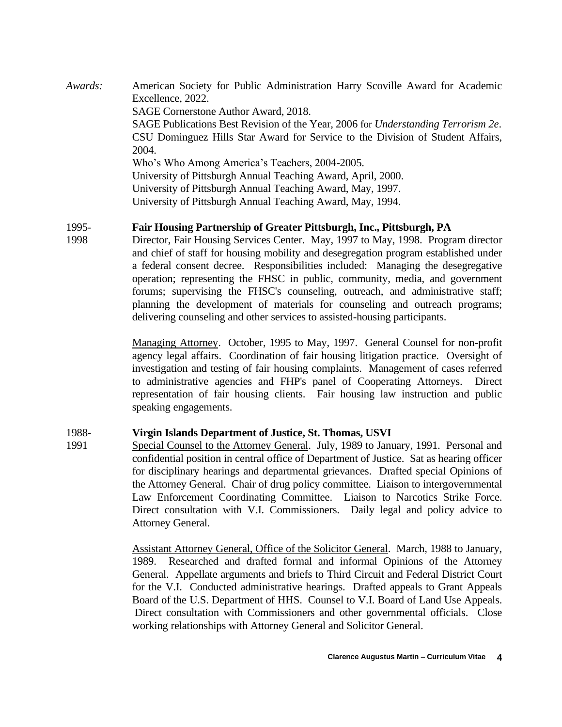*Awards:* American Society for Public Administration Harry Scoville Award for Academic Excellence, 2022. SAGE Cornerstone Author Award, 2018. SAGE Publications Best Revision of the Year, 2006 for *Understanding Terrorism 2e*. CSU Dominguez Hills Star Award for Service to the Division of Student Affairs, 2004. Who's Who Among America's Teachers, 2004-2005. University of Pittsburgh Annual Teaching Award, April, 2000. University of Pittsburgh Annual Teaching Award, May, 1997. University of Pittsburgh Annual Teaching Award, May, 1994.

# 1995- **Fair Housing Partnership of Greater Pittsburgh, Inc., Pittsburgh, PA**

1998 Director, Fair Housing Services Center. May, 1997 to May, 1998. Program director and chief of staff for housing mobility and desegregation program established under a federal consent decree. Responsibilities included: Managing the desegregative operation; representing the FHSC in public, community, media, and government forums; supervising the FHSC's counseling, outreach, and administrative staff; planning the development of materials for counseling and outreach programs; delivering counseling and other services to assisted-housing participants.

> Managing Attorney. October, 1995 to May, 1997. General Counsel for non-profit agency legal affairs. Coordination of fair housing litigation practice. Oversight of investigation and testing of fair housing complaints. Management of cases referred to administrative agencies and FHP's panel of Cooperating Attorneys. Direct representation of fair housing clients. Fair housing law instruction and public speaking engagements.

## 1988- **Virgin Islands Department of Justice, St. Thomas, USVI**

1991 Special Counsel to the Attorney General. July, 1989 to January, 1991. Personal and confidential position in central office of Department of Justice. Sat as hearing officer for disciplinary hearings and departmental grievances. Drafted special Opinions of the Attorney General. Chair of drug policy committee. Liaison to intergovernmental Law Enforcement Coordinating Committee. Liaison to Narcotics Strike Force. Direct consultation with V.I. Commissioners. Daily legal and policy advice to Attorney General.

> Assistant Attorney General, Office of the Solicitor General. March, 1988 to January, 1989. Researched and drafted formal and informal Opinions of the Attorney General. Appellate arguments and briefs to Third Circuit and Federal District Court for the V.I. Conducted administrative hearings. Drafted appeals to Grant Appeals Board of the U.S. Department of HHS. Counsel to V.I. Board of Land Use Appeals. Direct consultation with Commissioners and other governmental officials. Close working relationships with Attorney General and Solicitor General.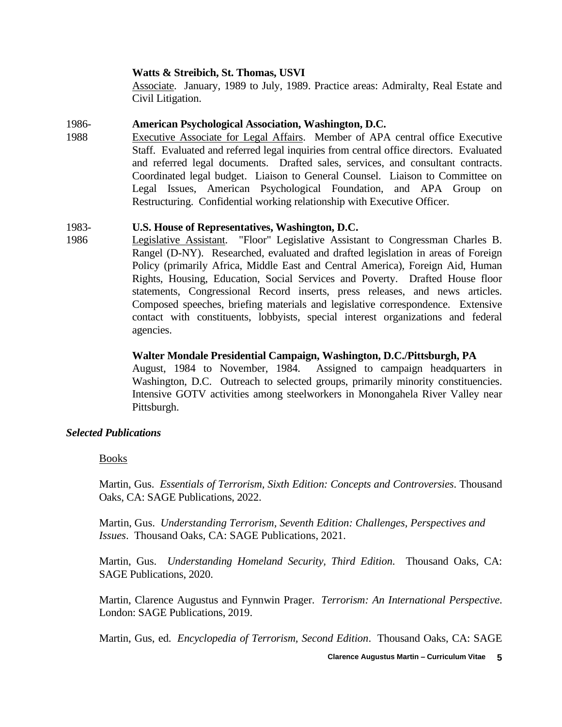#### **Watts & Streibich, St. Thomas, USVI**

Associate. January, 1989 to July, 1989. Practice areas: Admiralty, Real Estate and Civil Litigation.

## 1986- **American Psychological Association, Washington, D.C.**

1988 Executive Associate for Legal Affairs. Member of APA central office Executive Staff. Evaluated and referred legal inquiries from central office directors. Evaluated and referred legal documents. Drafted sales, services, and consultant contracts. Coordinated legal budget. Liaison to General Counsel. Liaison to Committee on Legal Issues, American Psychological Foundation, and APA Group on Restructuring. Confidential working relationship with Executive Officer.

## 1983- **U.S. House of Representatives, Washington, D.C.**

1986 Legislative Assistant. "Floor" Legislative Assistant to Congressman Charles B. Rangel (D-NY). Researched, evaluated and drafted legislation in areas of Foreign Policy (primarily Africa, Middle East and Central America), Foreign Aid, Human Rights, Housing, Education, Social Services and Poverty. Drafted House floor statements, Congressional Record inserts, press releases, and news articles. Composed speeches, briefing materials and legislative correspondence. Extensive contact with constituents, lobbyists, special interest organizations and federal agencies.

#### **Walter Mondale Presidential Campaign, Washington, D.C./Pittsburgh, PA**

August, 1984 to November, 1984. Assigned to campaign headquarters in Washington, D.C. Outreach to selected groups, primarily minority constituencies. Intensive GOTV activities among steelworkers in Monongahela River Valley near Pittsburgh.

## *Selected Publications*

#### Books

Martin, Gus. *Essentials of Terrorism, Sixth Edition: Concepts and Controversies*. Thousand Oaks, CA: SAGE Publications, 2022.

Martin, Gus. *Understanding Terrorism, Seventh Edition: Challenges, Perspectives and Issues*. Thousand Oaks, CA: SAGE Publications, 2021.

Martin, Gus. *Understanding Homeland Security, Third Edition*. Thousand Oaks, CA: SAGE Publications, 2020.

Martin, Clarence Augustus and Fynnwin Prager. *Terrorism: An International Perspective*. London: SAGE Publications, 2019.

Martin, Gus, ed. *Encyclopedia of Terrorism, Second Edition*[.](http://www.sagepub.com/booktoc.aspx?pid=9748&sc=1) [Thousand Oaks, CA: SAGE](http://www.sagepub.com/booktoc.aspx?pid=7948&sc=1)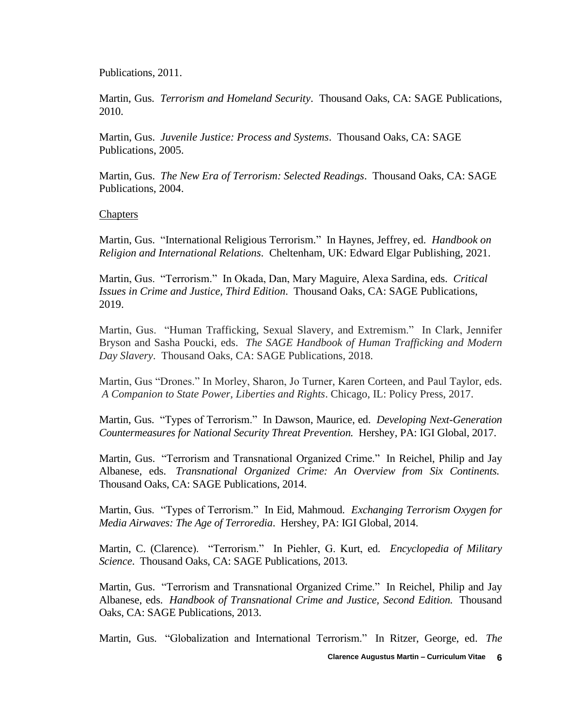[Publications, 201](http://www.sagepub.com/booktoc.aspx?pid=7948&sc=1)1.

Martin, Gus. *Terrorism and Homeland Security*[.](http://www.sagepub.com/booktoc.aspx?pid=9748&sc=1) [Thousand Oaks, CA: SAGE Publications,](http://www.sagepub.com/booktoc.aspx?pid=7948&sc=1)  [201](http://www.sagepub.com/booktoc.aspx?pid=7948&sc=1)0.

Martin, Gus. *Juvenile Justice: Process and Systems*. Thousand Oaks, CA: SAGE Publications, 2005.

Martin, Gus. *The New Era of Terrorism: Selected Readings*. Thousand Oaks, CA: SAGE Publications, 2004.

#### **Chapters**

Martin, Gus. "International Religious Terrorism." In Haynes, Jeffrey, ed. *Handbook on Religion and International Relations*. Cheltenham, UK: Edward Elgar Publishing, 2021.

Martin, Gus. "Terrorism." In Okada, Dan, Mary Maguire, Alexa Sardina, eds. *Critical Issues in Crime and Justice, Third Edition*. Thousand Oaks, CA: SAGE Publications, 2019.

Martin, Gus. "Human Trafficking, Sexual Slavery, and Extremism." In Clark, Jennifer Bryson and Sasha Poucki, eds. *The SAGE Handbook of Human Trafficking and Modern Day Slavery*. Thousand Oaks, CA: SAGE Publications, 2018.

Martin, Gus "Drones." In Morley, Sharon, Jo Turner, Karen Corteen, and Paul Taylor, eds. *A Companion to State Power, Liberties and Rights*. Chicago, IL: Policy Press, 2017.

Martin, Gus. "Types of Terrorism." In Dawson, Maurice, ed. *Developing Next-Generation Countermeasures for National Security Threat Preventio[n.](http://www.sagepub.com/booktoc.aspx?pid=9748&sc=1)* Hershey, PA: IGI Global, 2017.

Martin, Gus. "Terrorism and Transnational Organized Crime." In Reichel, Philip and Jay Albanese, eds. *Transnational Organized Crime: An Overview from Six Continent[s.](http://www.sagepub.com/booktoc.aspx?pid=9748&sc=1)* Thousand Oaks, CA: SAGE Publications, 2014.

Martin, Gus. "Types of Terrorism." In Eid, Mahmoud. *Exchanging Terrorism Oxygen for Media Airwaves: The Age of Terroredia*. Hershey, PA: [IGI Global, 201](http://www.sagepub.com/booktoc.aspx?pid=7948&sc=1)4.

Martin, C. (Clarence). "Terrorism." In Piehler, G. Kurt, ed. *Encyclopedia of Military Science*. Thousand Oaks, CA: SAGE Publications, 2013.

Martin, Gus. "Terrorism and Transnational Organized Crime." In Reichel, Philip and Jay Albanese, eds. *Handbook of Transnational Crime and Justice, Second Editio[n.](http://www.sagepub.com/booktoc.aspx?pid=9748&sc=1)* [Thousand](http://www.sagepub.com/booktoc.aspx?pid=7948&sc=1)  [Oaks, CA: SAGE Publications, 201](http://www.sagepub.com/booktoc.aspx?pid=7948&sc=1)3.

Martin, Gus. "Globalization and International Terrorism." In Ritzer, George, ed. *The*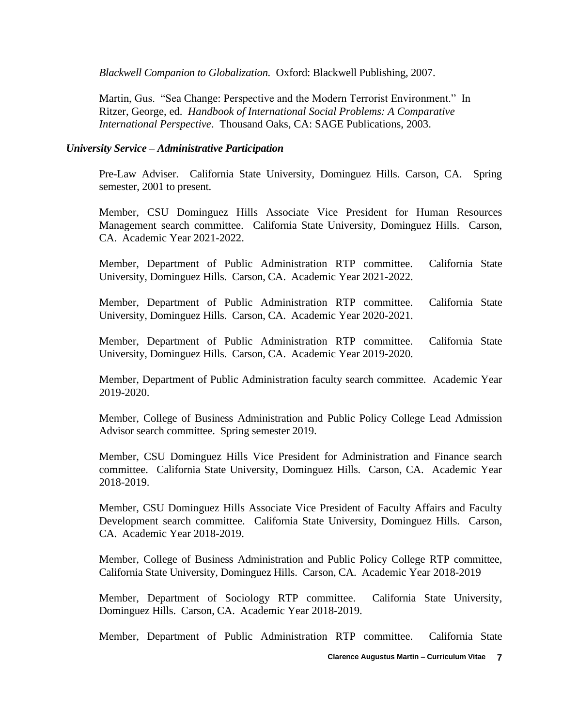*Blackwell Companion to Globalizatio[n.](http://www.sagepub.com/booktoc.aspx?pid=9748&sc=1)* [Oxford:](http://www.sagepub.com/booktoc.aspx?pid=9748&sc=1) Blackwell Publishing, 2007.

Martin, Gus. "Sea Change: Perspective and the Modern Terrorist Environment." In Ritzer, George, ed. *Handbook of International Social Problems: A Comparative International Perspective*. Thousand Oaks, CA: SAGE Publications, 2003.

### *University Service – Administrative Participation*

Pre-Law Adviser. California State University, Dominguez Hills. Carson, CA. Spring semester, 2001 to present.

Member, CSU Dominguez Hills Associate Vice President for Human Resources Management search committee. California State University, Dominguez Hills. Carson, CA. Academic Year 2021-2022.

Member, Department of Public Administration RTP committee. California State University, Dominguez Hills. Carson, CA. Academic Year 2021-2022.

Member, Department of Public Administration RTP committee. California State University, Dominguez Hills. Carson, CA. Academic Year 2020-2021.

Member, Department of Public Administration RTP committee. California State University, Dominguez Hills. Carson, CA. Academic Year 2019-2020.

Member, Department of Public Administration faculty search committee. Academic Year 2019-2020.

Member, College of Business Administration and Public Policy College Lead Admission Advisor search committee. Spring semester 2019.

Member, CSU Dominguez Hills Vice President for Administration and Finance search committee. California State University, Dominguez Hills. Carson, CA. Academic Year 2018-2019.

Member, CSU Dominguez Hills Associate Vice President of Faculty Affairs and Faculty Development search committee. California State University, Dominguez Hills. Carson, CA. Academic Year 2018-2019.

Member, College of Business Administration and Public Policy College RTP committee, California State University, Dominguez Hills. Carson, CA. Academic Year 2018-2019

Member, Department of Sociology RTP committee. California State University, Dominguez Hills. Carson, CA. Academic Year 2018-2019.

Member, Department of Public Administration RTP committee. California State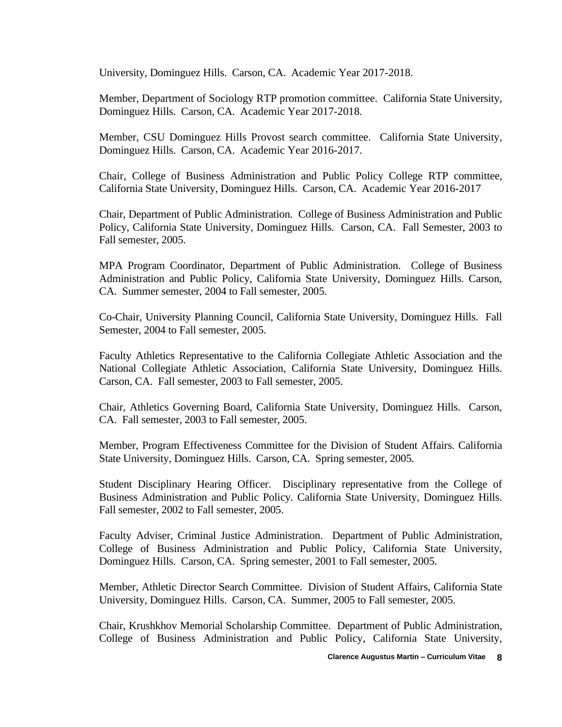University, Dominguez Hills. Carson, CA. Academic Year 2017-2018.

Member, Department of Sociology RTP promotion committee. California State University, Dominguez Hills. Carson, CA. Academic Year 2017-2018.

Member, CSU Dominguez Hills Provost search committee. California State University, Dominguez Hills. Carson, CA. Academic Year 2016-2017.

Chair, College of Business Administration and Public Policy College RTP committee, California State University, Dominguez Hills. Carson, CA. Academic Year 2016-2017

Chair, Department of Public Administration. College of Business Administration and Public Policy, California State University, Dominguez Hills. Carson, CA. Fall Semester, 2003 to Fall semester, 2005.

MPA Program Coordinator, Department of Public Administration. College of Business Administration and Public Policy, California State University, Dominguez Hills. Carson, CA. Summer semester, 2004 to Fall semester, 2005.

Co-Chair, University Planning Council, California State University, Dominguez Hills. Fall Semester, 2004 to Fall semester, 2005.

Faculty Athletics Representative to the California Collegiate Athletic Association and the National Collegiate Athletic Association, California State University, Dominguez Hills. Carson, CA. Fall semester, 2003 to Fall semester, 2005.

Chair, Athletics Governing Board, California State University, Dominguez Hills. Carson, CA. Fall semester, 2003 to Fall semester, 2005.

Member, Program Effectiveness Committee for the Division of Student Affairs. California State University, Dominguez Hills. Carson, CA. Spring semester, 2005.

Student Disciplinary Hearing Officer. Disciplinary representative from the College of Business Administration and Public Policy. California State University, Dominguez Hills. Fall semester, 2002 to Fall semester, 2005.

Faculty Adviser, Criminal Justice Administration. Department of Public Administration, College of Business Administration and Public Policy, California State University, Dominguez Hills. Carson, CA. Spring semester, 2001 to Fall semester, 2005.

Member, Athletic Director Search Committee. Division of Student Affairs, California State University, Dominguez Hills. Carson, CA. Summer, 2005 to Fall semester, 2005.

Chair, Krushkhov Memorial Scholarship Committee. Department of Public Administration, College of Business Administration and Public Policy, California State University,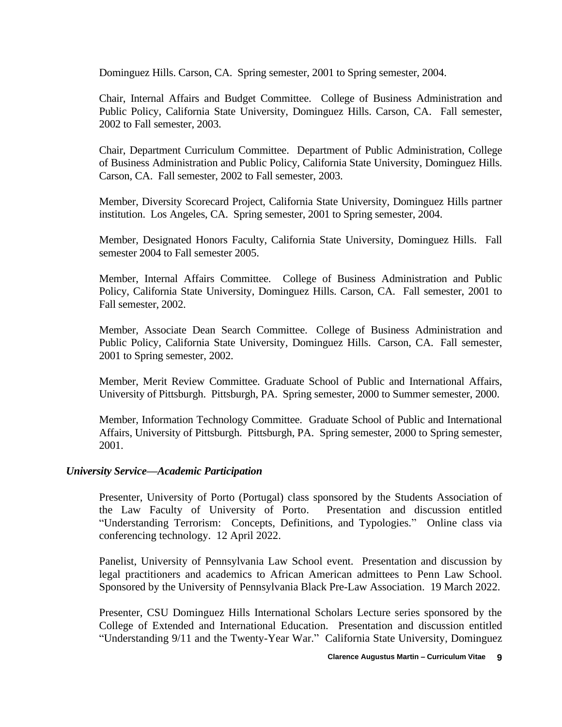Dominguez Hills. Carson, CA. Spring semester, 2001 to Spring semester, 2004.

Chair, Internal Affairs and Budget Committee. College of Business Administration and Public Policy, California State University, Dominguez Hills. Carson, CA. Fall semester, 2002 to Fall semester, 2003.

Chair, Department Curriculum Committee. Department of Public Administration, College of Business Administration and Public Policy, California State University, Dominguez Hills. Carson, CA. Fall semester, 2002 to Fall semester, 2003.

Member, Diversity Scorecard Project, California State University, Dominguez Hills partner institution. Los Angeles, CA. Spring semester, 2001 to Spring semester, 2004.

Member, Designated Honors Faculty, California State University, Dominguez Hills. Fall semester 2004 to Fall semester 2005.

Member, Internal Affairs Committee. College of Business Administration and Public Policy, California State University, Dominguez Hills. Carson, CA. Fall semester, 2001 to Fall semester, 2002.

Member, Associate Dean Search Committee. College of Business Administration and Public Policy, California State University, Dominguez Hills. Carson, CA. Fall semester, 2001 to Spring semester, 2002.

Member, Merit Review Committee. Graduate School of Public and International Affairs, University of Pittsburgh. Pittsburgh, PA. Spring semester, 2000 to Summer semester, 2000.

Member, Information Technology Committee. Graduate School of Public and International Affairs, University of Pittsburgh. Pittsburgh, PA. Spring semester, 2000 to Spring semester, 2001.

## *University Service—Academic Participation*

Presenter, University of Porto (Portugal) class sponsored by the Students Association of the Law Faculty of University of Porto. Presentation and discussion entitled "Understanding Terrorism: Concepts, Definitions, and Typologies." Online class via conferencing technology. 12 April 2022.

Panelist, University of Pennsylvania Law School event. Presentation and discussion by legal practitioners and academics to African American admittees to Penn Law School. Sponsored by the University of Pennsylvania Black Pre-Law Association. 19 March 2022.

Presenter, CSU Dominguez Hills International Scholars Lecture series sponsored by the College of Extended and International Education. Presentation and discussion entitled "Understanding 9/11 and the Twenty-Year War." California State University, Dominguez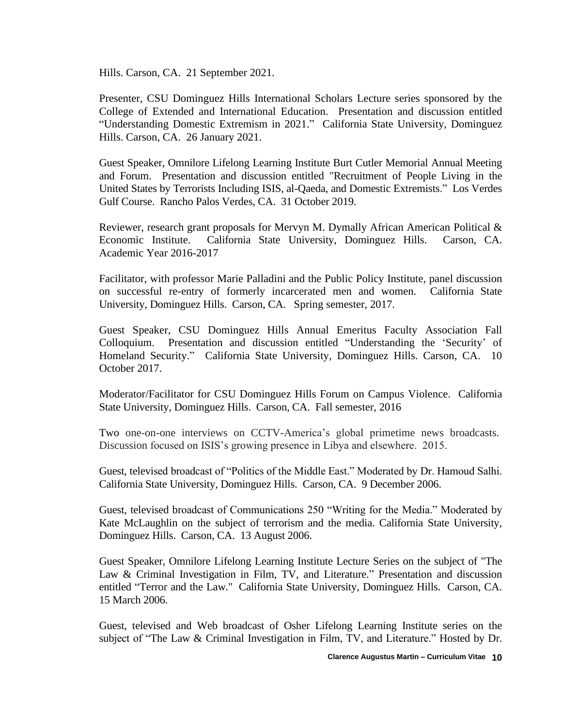Hills. Carson, CA. 21 September 2021.

Presenter, CSU Dominguez Hills International Scholars Lecture series sponsored by the College of Extended and International Education. Presentation and discussion entitled "Understanding Domestic Extremism in 2021." California State University, Dominguez Hills. Carson, CA. 26 January 2021.

Guest Speaker, Omnilore Lifelong Learning Institute Burt Cutler Memorial Annual Meeting and Forum. Presentation and discussion entitled "Recruitment of People Living in the United States by Terrorists Including ISIS, al-Qaeda, and Domestic Extremists." Los Verdes Gulf Course. Rancho Palos Verdes, CA. 31 October 2019.

Reviewer, research grant proposals for Mervyn M. Dymally African American Political & Economic Institute. California State University, Dominguez Hills. Carson, CA. Academic Year 2016-2017

Facilitator, with professor Marie Palladini and the Public Policy Institute, panel discussion on successful re-entry of formerly incarcerated men and women. California State University, Dominguez Hills. Carson, CA. Spring semester, 2017.

Guest Speaker, CSU Dominguez Hills Annual Emeritus Faculty Association Fall Colloquium. Presentation and discussion entitled "Understanding the 'Security' of Homeland Security." California State University, Dominguez Hills. Carson, CA. 10 October 2017.

Moderator/Facilitator for CSU Dominguez Hills Forum on Campus Violence. California State University, Dominguez Hills. Carson, CA. Fall semester, 2016

Two one-on-one interviews on CCTV-America's global primetime news broadcasts. Discussion focused on ISIS's growing presence in Libya and elsewhere. 2015.

Guest, televised broadcast of "Politics of the Middle East." Moderated by Dr. Hamoud Salhi. California State University, Dominguez Hills. Carson, CA. 9 December 2006.

Guest, televised broadcast of Communications 250 "Writing for the Media." Moderated by Kate McLaughlin on the subject of terrorism and the media. California State University, Dominguez Hills. Carson, CA. 13 August 2006.

Guest Speaker, Omnilore Lifelong Learning Institute Lecture Series on the subject of "The Law & Criminal Investigation in Film, TV, and Literature." Presentation and discussion entitled "Terror and the Law." California State University, Dominguez Hills. Carson, CA. 15 March 2006.

Guest, televised and Web broadcast of Osher Lifelong Learning Institute series on the subject of "The Law & Criminal Investigation in Film, TV, and Literature." Hosted by Dr.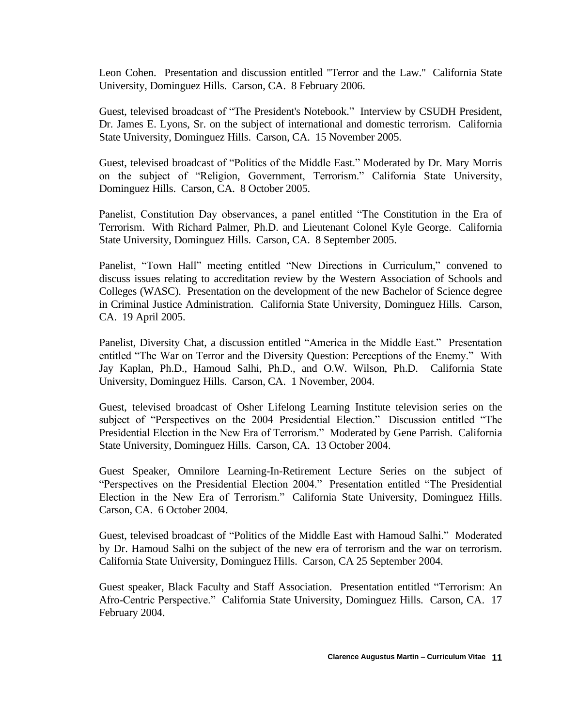Leon Cohen. Presentation and discussion entitled "Terror and the Law." California State University, Dominguez Hills. Carson, CA. 8 February 2006.

Guest, televised broadcast of "The President's Notebook." Interview by CSUDH President, Dr. James E. Lyons, Sr. on the subject of international and domestic terrorism. California State University, Dominguez Hills. Carson, CA. 15 November 2005.

Guest, televised broadcast of "Politics of the Middle East." Moderated by Dr. Mary Morris on the subject of "Religion, Government, Terrorism." California State University, Dominguez Hills. Carson, CA. 8 October 2005.

Panelist, Constitution Day observances, a panel entitled "The Constitution in the Era of Terrorism. With Richard Palmer, Ph.D. and Lieutenant Colonel Kyle George. California State University, Dominguez Hills. Carson, CA. 8 September 2005.

Panelist, "Town Hall" meeting entitled "New Directions in Curriculum," convened to discuss issues relating to accreditation review by the Western Association of Schools and Colleges (WASC). Presentation on the development of the new Bachelor of Science degree in Criminal Justice Administration. California State University, Dominguez Hills. Carson, CA. 19 April 2005.

Panelist, Diversity Chat, a discussion entitled "America in the Middle East." Presentation entitled "The War on Terror and the Diversity Question: Perceptions of the Enemy." With Jay Kaplan, Ph.D., Hamoud Salhi, Ph.D., and O.W. Wilson, Ph.D. California State University, Dominguez Hills. Carson, CA. 1 November, 2004.

Guest, televised broadcast of Osher Lifelong Learning Institute television series on the subject of "Perspectives on the 2004 Presidential Election." Discussion entitled "The Presidential Election in the New Era of Terrorism." Moderated by Gene Parrish. California State University, Dominguez Hills. Carson, CA. 13 October 2004.

Guest Speaker, Omnilore Learning-In-Retirement Lecture Series on the subject of "Perspectives on the Presidential Election 2004." Presentation entitled "The Presidential Election in the New Era of Terrorism." California State University, Dominguez Hills. Carson, CA. 6 October 2004.

Guest, televised broadcast of "Politics of the Middle East with Hamoud Salhi." Moderated by Dr. Hamoud Salhi on the subject of the new era of terrorism and the war on terrorism. California State University, Dominguez Hills. Carson, CA 25 September 2004.

Guest speaker, Black Faculty and Staff Association. Presentation entitled "Terrorism: An Afro-Centric Perspective." California State University, Dominguez Hills. Carson, CA. 17 February 2004.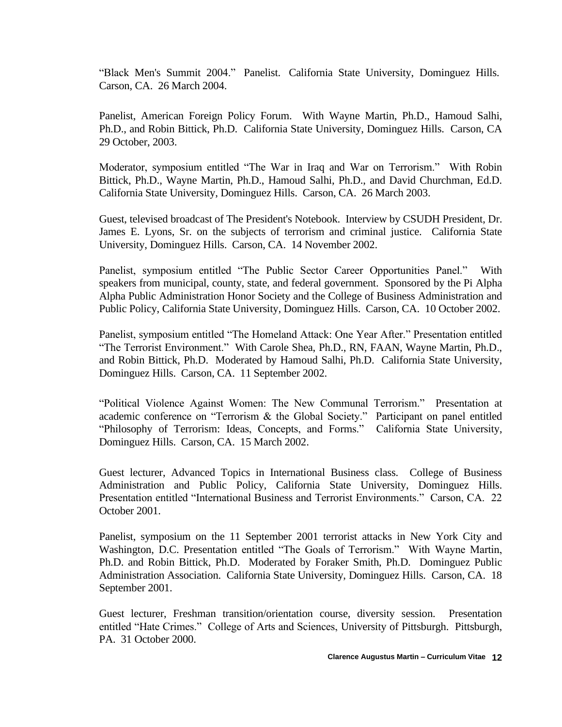"Black Men's Summit 2004." Panelist. California State University, Dominguez Hills. Carson, CA. 26 March 2004.

Panelist, American Foreign Policy Forum. With Wayne Martin, Ph.D., Hamoud Salhi, Ph.D., and Robin Bittick, Ph.D. California State University, Dominguez Hills. Carson, CA 29 October, 2003.

Moderator, symposium entitled "The War in Iraq and War on Terrorism." With Robin Bittick, Ph.D., Wayne Martin, Ph.D., Hamoud Salhi, Ph.D., and David Churchman, Ed.D. California State University, Dominguez Hills. Carson, CA. 26 March 2003.

Guest, televised broadcast of The President's Notebook. Interview by CSUDH President, Dr. James E. Lyons, Sr. on the subjects of terrorism and criminal justice. California State University, Dominguez Hills. Carson, CA. 14 November 2002.

Panelist, symposium entitled "The Public Sector Career Opportunities Panel." With speakers from municipal, county, state, and federal government. Sponsored by the Pi Alpha Alpha Public Administration Honor Society and the College of Business Administration and Public Policy, California State University, Dominguez Hills. Carson, CA. 10 October 2002.

Panelist, symposium entitled "The Homeland Attack: One Year After." Presentation entitled "The Terrorist Environment." With Carole Shea, Ph.D., RN, FAAN, Wayne Martin, Ph.D., and Robin Bittick, Ph.D. Moderated by Hamoud Salhi, Ph.D. California State University, Dominguez Hills. Carson, CA. 11 September 2002.

"Political Violence Against Women: The New Communal Terrorism." Presentation at academic conference on "Terrorism & the Global Society." Participant on panel entitled "Philosophy of Terrorism: Ideas, Concepts, and Forms." California State University, Dominguez Hills. Carson, CA. 15 March 2002.

Guest lecturer, Advanced Topics in International Business class. College of Business Administration and Public Policy, California State University, Dominguez Hills. Presentation entitled "International Business and Terrorist Environments." Carson, CA. 22 October 2001.

Panelist, symposium on the 11 September 2001 terrorist attacks in New York City and Washington, D.C. Presentation entitled "The Goals of Terrorism." With Wayne Martin, Ph.D. and Robin Bittick, Ph.D. Moderated by Foraker Smith, Ph.D. Dominguez Public Administration Association. California State University, Dominguez Hills. Carson, CA. 18 September 2001.

Guest lecturer, Freshman transition/orientation course, diversity session. Presentation entitled "Hate Crimes." College of Arts and Sciences, University of Pittsburgh. Pittsburgh, PA. 31 October 2000.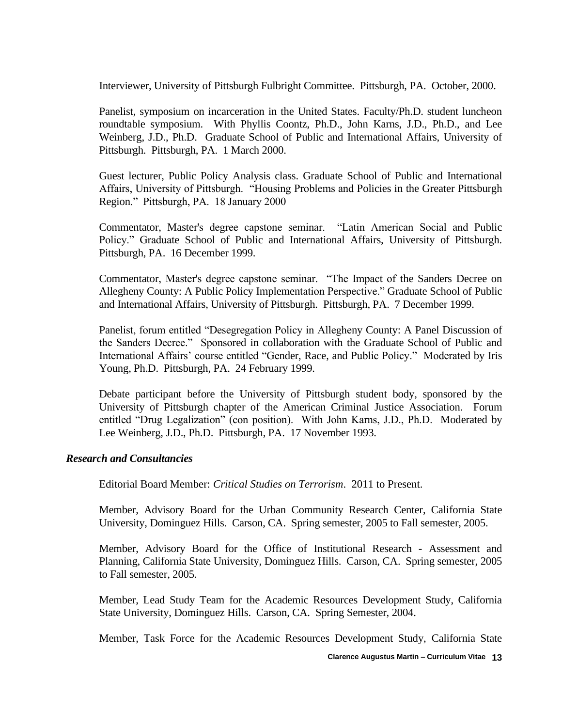Interviewer, University of Pittsburgh Fulbright Committee. Pittsburgh, PA. October, 2000.

Panelist, symposium on incarceration in the United States. Faculty/Ph.D. student luncheon roundtable symposium. With Phyllis Coontz, Ph.D., John Karns, J.D., Ph.D., and Lee Weinberg, J.D., Ph.D. Graduate School of Public and International Affairs, University of Pittsburgh. Pittsburgh, PA. 1 March 2000.

Guest lecturer, Public Policy Analysis class. Graduate School of Public and International Affairs, University of Pittsburgh. "Housing Problems and Policies in the Greater Pittsburgh Region." Pittsburgh, PA. 18 January 2000

Commentator, Master's degree capstone seminar. "Latin American Social and Public Policy." Graduate School of Public and International Affairs, University of Pittsburgh. Pittsburgh, PA. 16 December 1999.

Commentator, Master's degree capstone seminar. "The Impact of the Sanders Decree on Allegheny County: A Public Policy Implementation Perspective." Graduate School of Public and International Affairs, University of Pittsburgh. Pittsburgh, PA. 7 December 1999.

Panelist, forum entitled "Desegregation Policy in Allegheny County: A Panel Discussion of the Sanders Decree." Sponsored in collaboration with the Graduate School of Public and International Affairs' course entitled "Gender, Race, and Public Policy." Moderated by Iris Young, Ph.D. Pittsburgh, PA. 24 February 1999.

Debate participant before the University of Pittsburgh student body, sponsored by the University of Pittsburgh chapter of the American Criminal Justice Association. Forum entitled "Drug Legalization" (con position). With John Karns, J.D., Ph.D. Moderated by Lee Weinberg, J.D., Ph.D. Pittsburgh, PA. 17 November 1993.

#### *Research and Consultancies*

Editorial Board Member: *Critical Studies on Terrorism*. 2011 to Present.

Member, Advisory Board for the Urban Community Research Center, California State University, Dominguez Hills. Carson, CA. Spring semester, 2005 to Fall semester, 2005.

Member, Advisory Board for the Office of Institutional Research - Assessment and Planning, California State University, Dominguez Hills. Carson, CA. Spring semester, 2005 to Fall semester, 2005.

Member, Lead Study Team for the Academic Resources Development Study, California State University, Dominguez Hills. Carson, CA. Spring Semester, 2004.

Member, Task Force for the Academic Resources Development Study, California State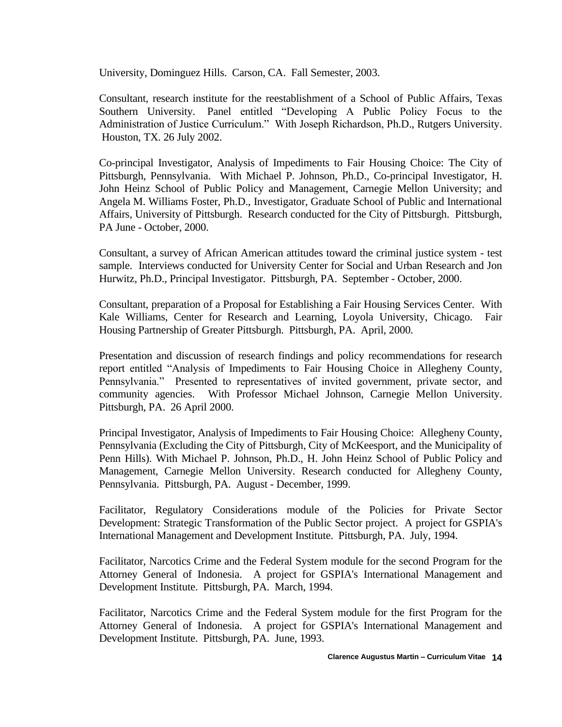University, Dominguez Hills. Carson, CA. Fall Semester, 2003.

Consultant, research institute for the reestablishment of a School of Public Affairs, Texas Southern University. Panel entitled "Developing A Public Policy Focus to the Administration of Justice Curriculum." With Joseph Richardson, Ph.D., Rutgers University. Houston, TX. 26 July 2002.

Co-principal Investigator, Analysis of Impediments to Fair Housing Choice: The City of Pittsburgh, Pennsylvania. With Michael P. Johnson, Ph.D., Co-principal Investigator, H. John Heinz School of Public Policy and Management, Carnegie Mellon University; and Angela M. Williams Foster, Ph.D., Investigator, Graduate School of Public and International Affairs, University of Pittsburgh. Research conducted for the City of Pittsburgh. Pittsburgh, PA June - October, 2000.

Consultant, a survey of African American attitudes toward the criminal justice system - test sample. Interviews conducted for University Center for Social and Urban Research and Jon Hurwitz, Ph.D., Principal Investigator. Pittsburgh, PA. September - October, 2000.

Consultant, preparation of a Proposal for Establishing a Fair Housing Services Center. With Kale Williams, Center for Research and Learning, Loyola University, Chicago. Fair Housing Partnership of Greater Pittsburgh. Pittsburgh, PA. April, 2000.

Presentation and discussion of research findings and policy recommendations for research report entitled "Analysis of Impediments to Fair Housing Choice in Allegheny County, Pennsylvania." Presented to representatives of invited government, private sector, and community agencies. With Professor Michael Johnson, Carnegie Mellon University. Pittsburgh, PA. 26 April 2000.

Principal Investigator, Analysis of Impediments to Fair Housing Choice: Allegheny County, Pennsylvania (Excluding the City of Pittsburgh, City of McKeesport, and the Municipality of Penn Hills). With Michael P. Johnson, Ph.D., H. John Heinz School of Public Policy and Management, Carnegie Mellon University. Research conducted for Allegheny County, Pennsylvania. Pittsburgh, PA. August - December, 1999.

Facilitator, Regulatory Considerations module of the Policies for Private Sector Development: Strategic Transformation of the Public Sector project. A project for GSPIA's International Management and Development Institute. Pittsburgh, PA. July, 1994.

Facilitator, Narcotics Crime and the Federal System module for the second Program for the Attorney General of Indonesia. A project for GSPIA's International Management and Development Institute. Pittsburgh, PA. March, 1994.

Facilitator, Narcotics Crime and the Federal System module for the first Program for the Attorney General of Indonesia. A project for GSPIA's International Management and Development Institute. Pittsburgh, PA. June, 1993.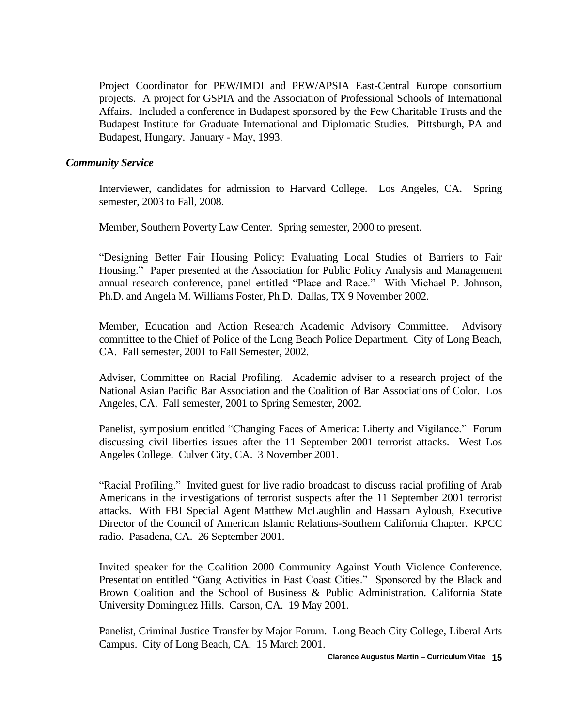Project Coordinator for PEW/IMDI and PEW/APSIA East-Central Europe consortium projects. A project for GSPIA and the Association of Professional Schools of International Affairs. Included a conference in Budapest sponsored by the Pew Charitable Trusts and the Budapest Institute for Graduate International and Diplomatic Studies. Pittsburgh, PA and Budapest, Hungary. January - May, 1993.

#### *Community Service*

Interviewer, candidates for admission to Harvard College. Los Angeles, CA. Spring semester, 2003 to Fall, 2008.

Member, Southern Poverty Law Center. Spring semester, 2000 to present.

"Designing Better Fair Housing Policy: Evaluating Local Studies of Barriers to Fair Housing." Paper presented at the Association for Public Policy Analysis and Management annual research conference, panel entitled "Place and Race." With Michael P. Johnson, Ph.D. and Angela M. Williams Foster, Ph.D. Dallas, TX 9 November 2002.

Member, Education and Action Research Academic Advisory Committee. Advisory committee to the Chief of Police of the Long Beach Police Department. City of Long Beach, CA. Fall semester, 2001 to Fall Semester, 2002.

Adviser, Committee on Racial Profiling. Academic adviser to a research project of the National Asian Pacific Bar Association and the Coalition of Bar Associations of Color. Los Angeles, CA. Fall semester, 2001 to Spring Semester, 2002.

Panelist, symposium entitled "Changing Faces of America: Liberty and Vigilance." Forum discussing civil liberties issues after the 11 September 2001 terrorist attacks. West Los Angeles College. Culver City, CA. 3 November 2001.

"Racial Profiling." Invited guest for live radio broadcast to discuss racial profiling of Arab Americans in the investigations of terrorist suspects after the 11 September 2001 terrorist attacks. With FBI Special Agent Matthew McLaughlin and Hassam Ayloush, Executive Director of the Council of American Islamic Relations-Southern California Chapter. KPCC radio. Pasadena, CA. 26 September 2001.

Invited speaker for the Coalition 2000 Community Against Youth Violence Conference. Presentation entitled "Gang Activities in East Coast Cities." Sponsored by the Black and Brown Coalition and the School of Business & Public Administration. California State University Dominguez Hills. Carson, CA. 19 May 2001.

Panelist, Criminal Justice Transfer by Major Forum. Long Beach City College, Liberal Arts Campus. City of Long Beach, CA. 15 March 2001.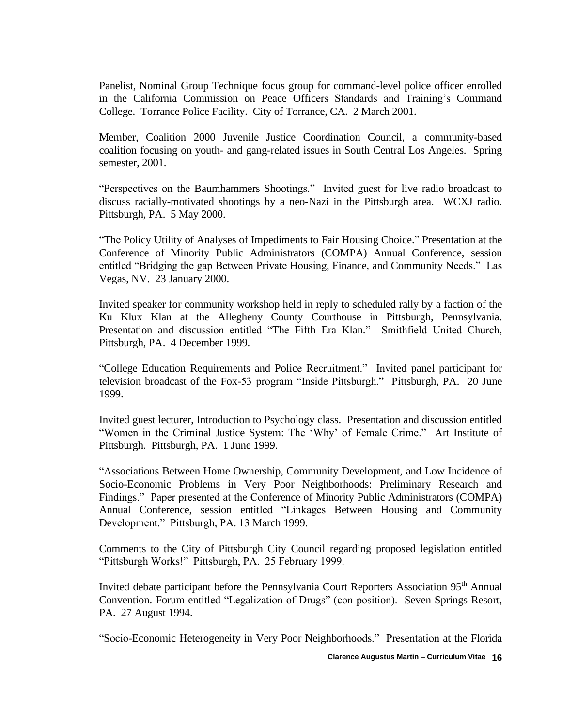Panelist, Nominal Group Technique focus group for command-level police officer enrolled in the California Commission on Peace Officers Standards and Training's Command College. Torrance Police Facility. City of Torrance, CA. 2 March 2001.

Member, Coalition 2000 Juvenile Justice Coordination Council, a community-based coalition focusing on youth- and gang-related issues in South Central Los Angeles. Spring semester, 2001.

"Perspectives on the Baumhammers Shootings." Invited guest for live radio broadcast to discuss racially-motivated shootings by a neo-Nazi in the Pittsburgh area. WCXJ radio. Pittsburgh, PA. 5 May 2000.

"The Policy Utility of Analyses of Impediments to Fair Housing Choice." Presentation at the Conference of Minority Public Administrators (COMPA) Annual Conference, session entitled "Bridging the gap Between Private Housing, Finance, and Community Needs." Las Vegas, NV. 23 January 2000.

Invited speaker for community workshop held in reply to scheduled rally by a faction of the Ku Klux Klan at the Allegheny County Courthouse in Pittsburgh, Pennsylvania. Presentation and discussion entitled "The Fifth Era Klan." Smithfield United Church, Pittsburgh, PA. 4 December 1999.

"College Education Requirements and Police Recruitment." Invited panel participant for television broadcast of the Fox-53 program "Inside Pittsburgh." Pittsburgh, PA. 20 June 1999.

Invited guest lecturer, Introduction to Psychology class. Presentation and discussion entitled "Women in the Criminal Justice System: The 'Why' of Female Crime." Art Institute of Pittsburgh. Pittsburgh, PA. 1 June 1999.

"Associations Between Home Ownership, Community Development, and Low Incidence of Socio-Economic Problems in Very Poor Neighborhoods: Preliminary Research and Findings." Paper presented at the Conference of Minority Public Administrators (COMPA) Annual Conference, session entitled "Linkages Between Housing and Community Development." Pittsburgh, PA. 13 March 1999.

Comments to the City of Pittsburgh City Council regarding proposed legislation entitled "Pittsburgh Works!" Pittsburgh, PA. 25 February 1999.

Invited debate participant before the Pennsylvania Court Reporters Association 95<sup>th</sup> Annual Convention. Forum entitled "Legalization of Drugs" (con position). Seven Springs Resort, PA. 27 August 1994.

"Socio-Economic Heterogeneity in Very Poor Neighborhoods." Presentation at the Florida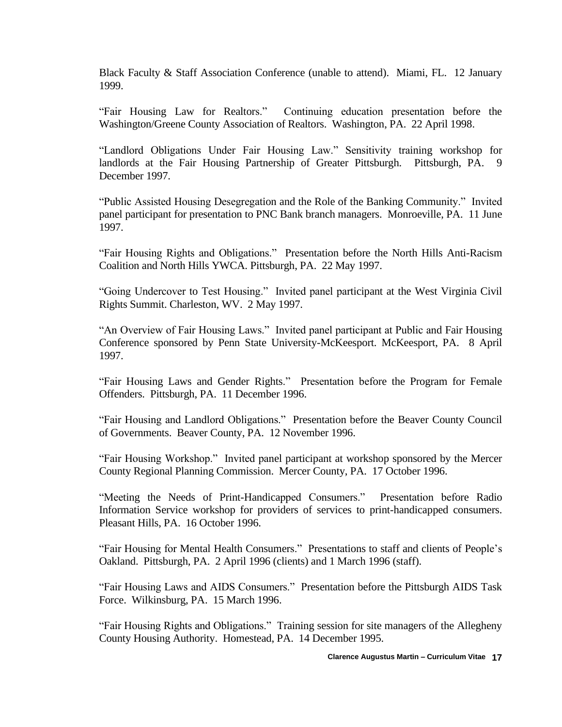Black Faculty & Staff Association Conference (unable to attend). Miami, FL. 12 January 1999.

"Fair Housing Law for Realtors." Continuing education presentation before the Washington/Greene County Association of Realtors. Washington, PA. 22 April 1998.

"Landlord Obligations Under Fair Housing Law." Sensitivity training workshop for landlords at the Fair Housing Partnership of Greater Pittsburgh. Pittsburgh, PA. 9 December 1997.

"Public Assisted Housing Desegregation and the Role of the Banking Community." Invited panel participant for presentation to PNC Bank branch managers. Monroeville, PA. 11 June 1997.

"Fair Housing Rights and Obligations." Presentation before the North Hills Anti-Racism Coalition and North Hills YWCA. Pittsburgh, PA. 22 May 1997.

"Going Undercover to Test Housing." Invited panel participant at the West Virginia Civil Rights Summit. Charleston, WV. 2 May 1997.

"An Overview of Fair Housing Laws." Invited panel participant at Public and Fair Housing Conference sponsored by Penn State University-McKeesport. McKeesport, PA. 8 April 1997.

"Fair Housing Laws and Gender Rights." Presentation before the Program for Female Offenders. Pittsburgh, PA. 11 December 1996.

"Fair Housing and Landlord Obligations." Presentation before the Beaver County Council of Governments. Beaver County, PA. 12 November 1996.

"Fair Housing Workshop." Invited panel participant at workshop sponsored by the Mercer County Regional Planning Commission. Mercer County, PA. 17 October 1996.

"Meeting the Needs of Print-Handicapped Consumers." Presentation before Radio Information Service workshop for providers of services to print-handicapped consumers. Pleasant Hills, PA. 16 October 1996.

"Fair Housing for Mental Health Consumers." Presentations to staff and clients of People's Oakland. Pittsburgh, PA. 2 April 1996 (clients) and 1 March 1996 (staff).

"Fair Housing Laws and AIDS Consumers." Presentation before the Pittsburgh AIDS Task Force. Wilkinsburg, PA. 15 March 1996.

"Fair Housing Rights and Obligations." Training session for site managers of the Allegheny County Housing Authority. Homestead, PA. 14 December 1995.